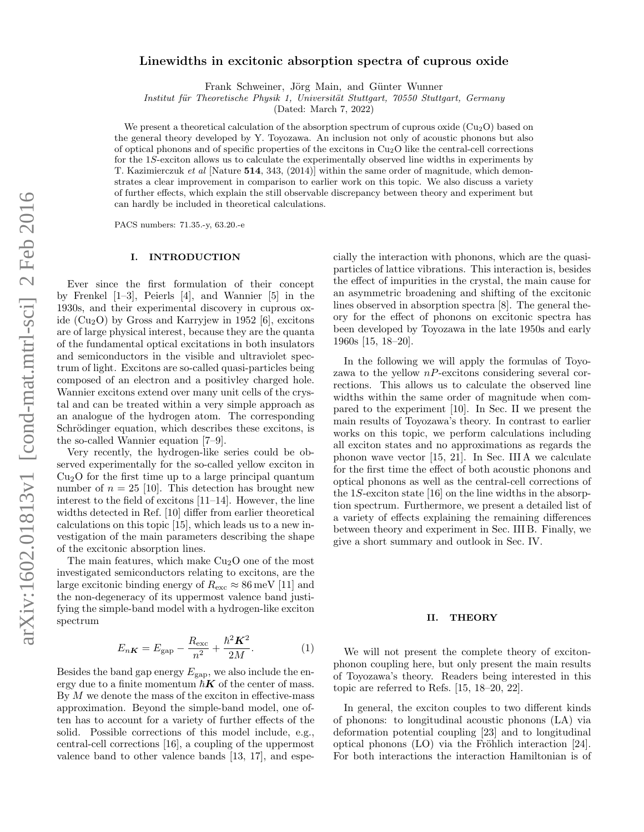# Linewidths in excitonic absorption spectra of cuprous oxide

Frank Schweiner, Jörg Main, and Günter Wunner

Institut für Theoretische Physik 1, Universität Stuttgart, 70550 Stuttgart, Germany

(Dated: March 7, 2022)

We present a theoretical calculation of the absorption spectrum of cuprous oxide  $(Cu_2O)$  based on the general theory developed by Y. Toyozawa. An inclusion not only of acoustic phonons but also of optical phonons and of specific properties of the excitons in  $Cu<sub>2</sub>O$  like the central-cell corrections for the 1S-exciton allows us to calculate the experimentally observed line widths in experiments by T. Kazimierczuk et al [Nature 514, 343, (2014)] within the same order of magnitude, which demonstrates a clear improvement in comparison to earlier work on this topic. We also discuss a variety of further effects, which explain the still observable discrepancy between theory and experiment but can hardly be included in theoretical calculations.

PACS numbers: 71.35.-y, 63.20.-e

#### I. INTRODUCTION

Ever since the first formulation of their concept by Frenkel [1–3], Peierls [4], and Wannier [5] in the 1930s, and their experimental discovery in cuprous oxide  $(Cu<sub>2</sub>O)$  by Gross and Karryjew in 1952 [6], excitons are of large physical interest, because they are the quanta of the fundamental optical excitations in both insulators and semiconductors in the visible and ultraviolet spectrum of light. Excitons are so-called quasi-particles being composed of an electron and a positivley charged hole. Wannier excitons extend over many unit cells of the crystal and can be treated within a very simple approach as an analogue of the hydrogen atom. The corresponding Schrödinger equation, which describes these excitons, is the so-called Wannier equation [7–9].

Very recently, the hydrogen-like series could be observed experimentally for the so-called yellow exciton in  $Cu<sub>2</sub>O$  for the first time up to a large principal quantum number of  $n = 25$  [10]. This detection has brought new interest to the field of excitons [11–14]. However, the line widths detected in Ref. [10] differ from earlier theoretical calculations on this topic [15], which leads us to a new investigation of the main parameters describing the shape of the excitonic absorption lines.

The main features, which make  $Cu<sub>2</sub>O$  one of the most investigated semiconductors relating to excitons, are the large excitonic binding energy of  $R_{\rm exc} \approx 86 \,\text{meV}$  [11] and the non-degeneracy of its uppermost valence band justifying the simple-band model with a hydrogen-like exciton spectrum

$$
E_{nK} = E_{\rm gap} - \frac{R_{\rm exc}}{n^2} + \frac{\hbar^2 K^2}{2M}.
$$
 (1)

Besides the band gap energy  $E_{\text{gap}}$ , we also include the energy due to a finite momentum  $\hbar K$  of the center of mass. By  $M$  we denote the mass of the exciton in effective-mass approximation. Beyond the simple-band model, one often has to account for a variety of further effects of the solid. Possible corrections of this model include, e.g., central-cell corrections [16], a coupling of the uppermost valence band to other valence bands [13, 17], and espe-

cially the interaction with phonons, which are the quasiparticles of lattice vibrations. This interaction is, besides the effect of impurities in the crystal, the main cause for an asymmetric broadening and shifting of the excitonic lines observed in absorption spectra [8]. The general theory for the effect of phonons on excitonic spectra has been developed by Toyozawa in the late 1950s and early 1960s [15, 18–20].

In the following we will apply the formulas of Toyozawa to the yellow  $nP$ -excitons considering several corrections. This allows us to calculate the observed line widths within the same order of magnitude when compared to the experiment [10]. In Sec. II we present the main results of Toyozawa's theory. In contrast to earlier works on this topic, we perform calculations including all exciton states and no approximations as regards the phonon wave vector [15, 21]. In Sec. III A we calculate for the first time the effect of both acoustic phonons and optical phonons as well as the central-cell corrections of the 1S-exciton state [16] on the line widths in the absorption spectrum. Furthermore, we present a detailed list of a variety of effects explaining the remaining differences between theory and experiment in Sec. III B. Finally, we give a short summary and outlook in Sec. IV.

## II. THEORY

We will not present the complete theory of excitonphonon coupling here, but only present the main results of Toyozawa's theory. Readers being interested in this topic are referred to Refs. [15, 18–20, 22].

In general, the exciton couples to two different kinds of phonons: to longitudinal acoustic phonons (LA) via deformation potential coupling [23] and to longitudinal optical phonons  $(LO)$  via the Fröhlich interaction [24]. For both interactions the interaction Hamiltonian is of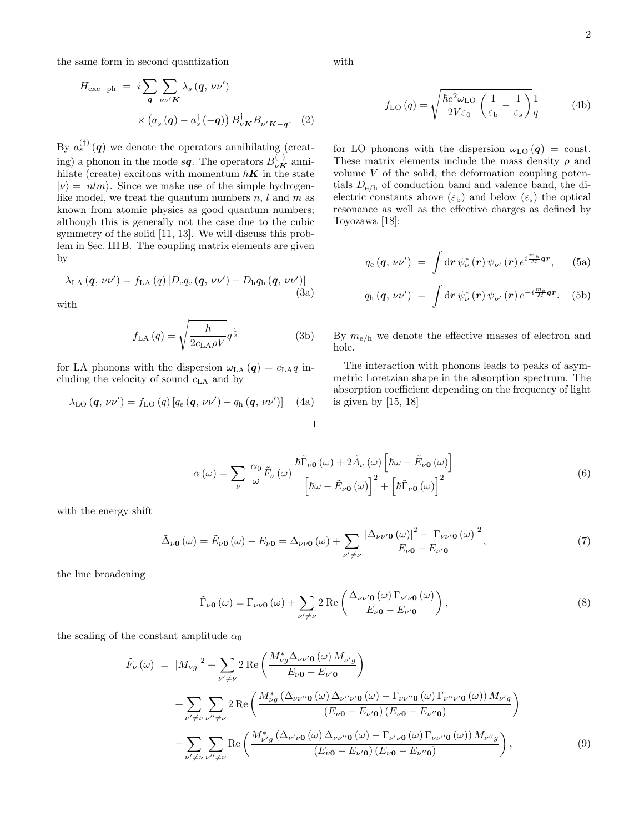the same form in second quantization

$$
H_{\text{exc-ph}} = i \sum_{\mathbf{q}} \sum_{\nu \nu' \mathbf{K}} \lambda_s (\mathbf{q}, \nu \nu')
$$
  
 
$$
\times (a_s (\mathbf{q}) - a_s^{\dagger} (-\mathbf{q})) B_{\nu \mathbf{K}}^{\dagger} B_{\nu' \mathbf{K} - \mathbf{q}}.
$$
 (2)

By  $a_s^{(\dagger)}(q)$  we denote the operators annihilating (creating) a phonon in the mode  $s\mathbf{q}$ . The operators  $B_{\nu\boldsymbol{K}}^{(\dagger)}$  annihilate (create) excitons with momentum  $\hbar K$  in the state  $|\nu\rangle = |nlm\rangle$ . Since we make use of the simple hydrogenlike model, we treat the quantum numbers  $n, l$  and  $m$  as known from atomic physics as good quantum numbers; although this is generally not the case due to the cubic symmetry of the solid [11, 13]. We will discuss this problem in Sec. III B. The coupling matrix elements are given by

$$
\lambda_{\text{LA}}\left(\boldsymbol{q},\,\nu\nu'\right) = f_{\text{LA}}\left(q\right)\left[D_{\text{e}}q_{\text{e}}\left(\boldsymbol{q},\,\nu\nu'\right) - D_{\text{h}}q_{\text{h}}\left(\boldsymbol{q},\,\nu\nu'\right)\right] \tag{3a}
$$

with

$$
f_{\rm LA}(q) = \sqrt{\frac{\hbar}{2c_{\rm LA}\rho V}}q^{\frac{1}{2}}
$$
 (3b)

for LA phonons with the dispersion  $\omega_{\text{LA}}(q) = c_{\text{LA}}q$  including the velocity of sound  $c_{\text{LA}}$  and by

$$
\lambda_{\text{LO}}\left(\boldsymbol{q},\,\nu\nu'\right) = f_{\text{LO}}\left(q\right)\left[q_{\text{e}}\left(\boldsymbol{q},\,\nu\nu'\right) - q_{\text{h}}\left(\boldsymbol{q},\,\nu\nu'\right)\right] \tag{4a}
$$

with

$$
f_{\rm LO}(q) = \sqrt{\frac{\hbar e^2 \omega_{\rm LO}}{2V \varepsilon_0} \left(\frac{1}{\varepsilon_{\rm b}} - \frac{1}{\varepsilon_s}\right)} \frac{1}{q} \tag{4b}
$$

for LO phonons with the dispersion  $\omega_{LO}(q) = \text{const.}$ These matrix elements include the mass density  $\rho$  and volume  $V$  of the solid, the deformation coupling potentials  $D_{e/h}$  of conduction band and valence band, the dielectric constants above  $(\varepsilon_{\rm b})$  and below  $(\varepsilon_{\rm s})$  the optical resonance as well as the effective charges as defined by Toyozawa [18]:

$$
q_{\rm e} ( \bm{q} , \, \nu \nu') \; = \; \int {\rm d} \bm{r} \, \psi_{\nu}^* \left( \bm{r} \right) \psi_{\nu'} \left( \bm{r} \right) e^{i \frac{m_{\rm h}}{M} \bm{q} \bm{r}} , \quad \ \ \text{(5a)}
$$

$$
q_{\rm h}(\boldsymbol{q},\,\nu\nu')\;=\;\int\mathrm{d}\boldsymbol{r}\,\psi_{\nu}^*\left(\boldsymbol{r}\right)\psi_{\nu'}\left(\boldsymbol{r}\right)e^{-i\frac{m_{\rm e}}{M}\boldsymbol{q}\boldsymbol{r}}.\quad\left(5\mathrm{b}\right)
$$

By  $m_{e/h}$  we denote the effective masses of electron and hole.

The interaction with phonons leads to peaks of asymmetric Loretzian shape in the absorption spectrum. The absorption coefficient depending on the frequency of light is given by [15, 18]

$$
\alpha(\omega) = \sum_{\nu} \frac{\alpha_0}{\omega} \tilde{F}_{\nu}(\omega) \frac{\hbar \tilde{\Gamma}_{\nu 0}(\omega) + 2\tilde{A}_{\nu}(\omega) \left[\hbar \omega - \tilde{E}_{\nu 0}(\omega)\right]}{\left[\hbar \omega - \tilde{E}_{\nu 0}(\omega)\right]^2 + \left[\hbar \tilde{\Gamma}_{\nu 0}(\omega)\right]^2}
$$
(6)

with the energy shift

$$
\tilde{\Delta}_{\nu\mathbf{0}}\left(\omega\right) = \tilde{E}_{\nu\mathbf{0}}\left(\omega\right) - E_{\nu\mathbf{0}} = \Delta_{\nu\nu\mathbf{0}}\left(\omega\right) + \sum_{\nu' \neq \nu} \frac{\left|\Delta_{\nu\nu'\mathbf{0}}\left(\omega\right)\right|^2 - \left|\Gamma_{\nu\nu'\mathbf{0}}\left(\omega\right)\right|^2}{E_{\nu\mathbf{0}} - E_{\nu'\mathbf{0}}},\tag{7}
$$

the line broadening

$$
\tilde{\Gamma}_{\nu\mathbf{0}}\left(\omega\right) = \Gamma_{\nu\nu\mathbf{0}}\left(\omega\right) + \sum_{\nu' \neq \nu} 2 \operatorname{Re}\left(\frac{\Delta_{\nu\nu'\mathbf{0}}\left(\omega\right)\Gamma_{\nu'\nu\mathbf{0}}\left(\omega\right)}{E_{\nu\mathbf{0}} - E_{\nu'\mathbf{0}}}\right),\tag{8}
$$

the scaling of the constant amplitude  $\alpha_0$ 

$$
\tilde{F}_{\nu}(\omega) = |M_{\nu g}|^{2} + \sum_{\nu' \neq \nu} 2 \operatorname{Re} \left( \frac{M_{\nu g}^{*} \Delta_{\nu \nu' 0}(\omega) M_{\nu' g}}{E_{\nu 0} - E_{\nu' 0}} \right) \n+ \sum_{\nu' \neq \nu} \sum_{\nu'' \neq \nu} 2 \operatorname{Re} \left( \frac{M_{\nu g}^{*} (\Delta_{\nu \nu'' 0}(\omega) \Delta_{\nu'' \nu' 0}(\omega) - \Gamma_{\nu \nu'' 0}(\omega) \Gamma_{\nu'' \nu' 0}(\omega)) M_{\nu' g}}{(E_{\nu 0} - E_{\nu' 0}) (E_{\nu 0} - E_{\nu'' 0})} \right) \n+ \sum_{\nu' \neq \nu} \sum_{\nu'' \neq \nu} \operatorname{Re} \left( \frac{M_{\nu' g}^{*} (\Delta_{\nu' \nu 0}(\omega) \Delta_{\nu \nu'' 0}(\omega) - \Gamma_{\nu' \nu 0}(\omega) \Gamma_{\nu \nu'' 0}(\omega)) M_{\nu'' g}}{(E_{\nu 0} - E_{\nu' 0}) (E_{\nu 0} - E_{\nu'' 0})} \right),
$$
\n(9)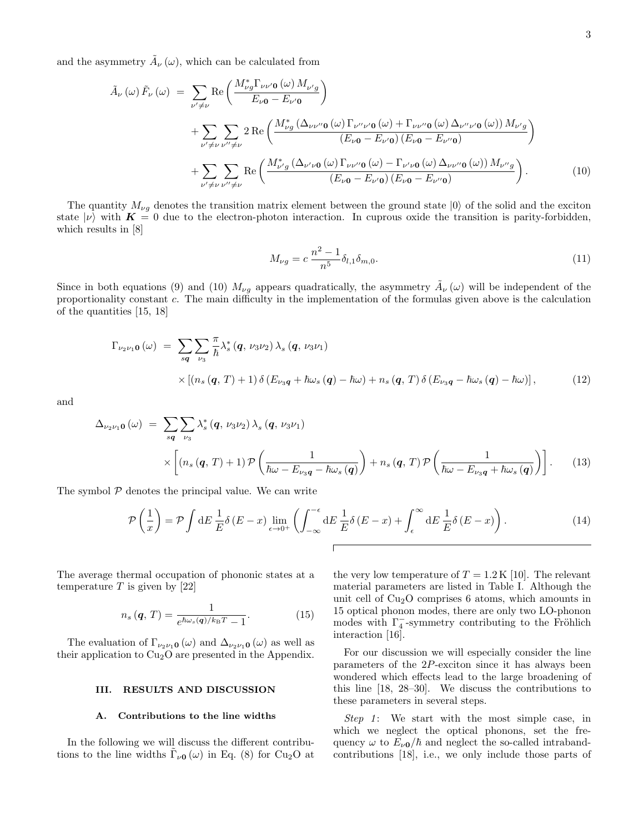and the asymmetry  $\tilde{A}_{\nu}(\omega)$ , which can be calculated from

$$
\tilde{A}_{\nu}(\omega)\tilde{F}_{\nu}(\omega) = \sum_{\nu' \neq \nu} \text{Re}\left(\frac{M_{\nu g}^{*}\Gamma_{\nu\nu'0}(\omega)M_{\nu'g}}{E_{\nu 0} - E_{\nu'0}}\right) \n+ \sum_{\nu' \neq \nu} \sum_{\nu'' \neq \nu} 2 \text{Re}\left(\frac{M_{\nu g}^{*}(\Delta_{\nu\nu''0}(\omega)\Gamma_{\nu''\nu'0}(\omega) + \Gamma_{\nu\nu''0}(\omega)\Delta_{\nu''\nu'0}(\omega))M_{\nu'g}}{(E_{\nu 0} - E_{\nu'0})(E_{\nu 0} - E_{\nu''0})} \right) \n+ \sum_{\nu' \neq \nu} \sum_{\nu'' \neq \nu} \text{Re}\left(\frac{M_{\nu'g}^{*}(\Delta_{\nu'\nu0}(\omega)\Gamma_{\nu\nu''0}(\omega) - \Gamma_{\nu'\nu0}(\omega)\Delta_{\nu\nu''0}(\omega))M_{\nu''g}}{(E_{\nu 0} - E_{\nu'0})(E_{\nu 0} - E_{\nu''0})}\right).
$$
\n(10)

The quantity  $M_{\nu g}$  denotes the transition matrix element between the ground state  $|0\rangle$  of the solid and the exciton state  $|\nu\rangle$  with  $K = 0$  due to the electron-photon interaction. In cuprous oxide the transition is parity-forbidden, which results in [8]

$$
M_{\nu g} = c \frac{n^2 - 1}{n^5} \delta_{l,1} \delta_{m,0}.
$$
\n(11)

Since in both equations (9) and (10)  $M_{\nu g}$  appears quadratically, the asymmetry  $\tilde{A}_{\nu}(\omega)$  will be independent of the proportionality constant c. The main difficulty in the implementation of the formulas given above is the calculation of the quantities [15, 18]

$$
\Gamma_{\nu_2\nu_1\mathbf{0}}(\omega) = \sum_{s\mathbf{q}} \sum_{\nu_3} \frac{\pi}{\hbar} \lambda_s^* \left(\mathbf{q}, \nu_3\nu_2\right) \lambda_s \left(\mathbf{q}, \nu_3\nu_1\right) \times \left[ \left(n_s\left(\mathbf{q}, T\right) + 1\right) \delta\left(E_{\nu_3\mathbf{q}} + \hbar\omega_s\left(\mathbf{q}\right) - \hbar\omega\right) + n_s\left(\mathbf{q}, T\right) \delta\left(E_{\nu_3\mathbf{q}} - \hbar\omega_s\left(\mathbf{q}\right) - \hbar\omega\right) \right],
$$
\n(12)

and

$$
\Delta_{\nu_2\nu_1\mathbf{0}}(\omega) = \sum_{s\mathbf{q}} \sum_{\nu_3} \lambda_s^* (\mathbf{q}, \nu_3\nu_2) \lambda_s (\mathbf{q}, \nu_3\nu_1)
$$
  
 
$$
\times \left[ (n_s(\mathbf{q}, T) + 1) \mathcal{P} \left( \frac{1}{\hbar\omega - E_{\nu_3\mathbf{q}} - \hbar\omega_s(\mathbf{q})} \right) + n_s(\mathbf{q}, T) \mathcal{P} \left( \frac{1}{\hbar\omega - E_{\nu_3\mathbf{q}} + \hbar\omega_s(\mathbf{q})} \right) \right].
$$
 (13)

The symbol  $P$  denotes the principal value. We can write

$$
\mathcal{P}\left(\frac{1}{x}\right) = \mathcal{P}\int dE \frac{1}{E} \delta(E - x) \lim_{\epsilon \to 0^{+}} \left( \int_{-\infty}^{-\epsilon} dE \frac{1}{E} \delta(E - x) + \int_{\epsilon}^{\infty} dE \frac{1}{E} \delta(E - x) \right).
$$
 (14)

The average thermal occupation of phononic states at a temperature  $T$  is given by [22]

$$
n_s(\mathbf{q}, T) = \frac{1}{e^{\hbar \omega_s(\mathbf{q})/k_\text{B}T} - 1}.
$$
 (15)

The evaluation of  $\Gamma_{\nu_2\nu_1\mathbf{0}}(\omega)$  and  $\Delta_{\nu_2\nu_1\mathbf{0}}(\omega)$  as well as their application to  $Cu<sub>2</sub>O$  are presented in the Appendix.

#### III. RESULTS AND DISCUSSION

## A. Contributions to the line widths

In the following we will discuss the different contributions to the line widths  $\tilde{\Gamma}_{\nu 0}(\omega)$  in Eq. (8) for Cu<sub>2</sub>O at the very low temperature of  $T = 1.2 \text{ K } [10]$ . The relevant material parameters are listed in Table I. Although the unit cell of  $Cu<sub>2</sub>O$  comprises 6 atoms, which amounts in 15 optical phonon modes, there are only two LO-phonon modes with  $\Gamma_4^-$ -symmetry contributing to the Fröhlich interaction [16].

For our discussion we will especially consider the line parameters of the 2P-exciton since it has always been wondered which effects lead to the large broadening of this line [18, 28–30]. We discuss the contributions to these parameters in several steps.

Step 1: We start with the most simple case, in which we neglect the optical phonons, set the frequency  $\omega$  to  $E_{\nu 0}/\hbar$  and neglect the so-called intrabandcontributions [18], i.e., we only include those parts of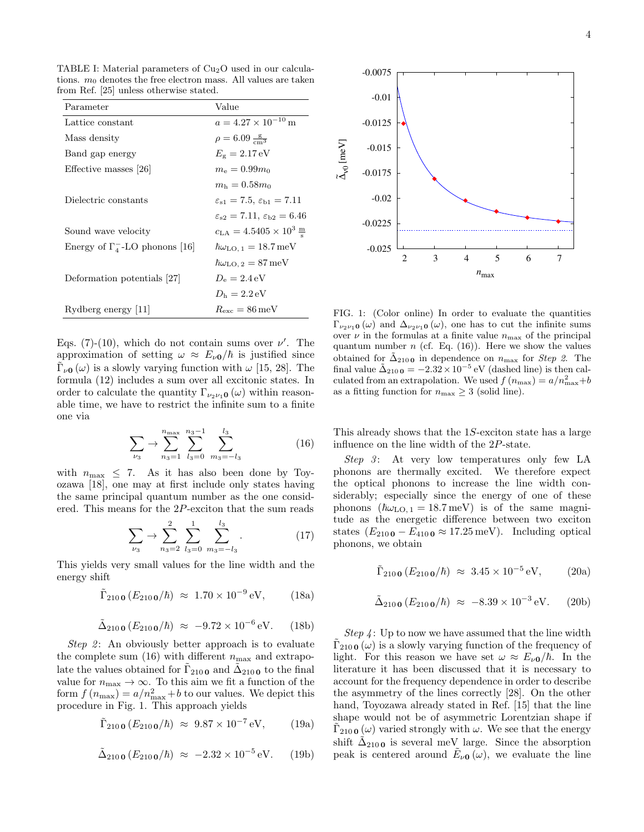TABLE I: Material parameters of  $Cu<sub>2</sub>O$  used in our calculations.  $m_0$  denotes the free electron mass. All values are taken from Ref. [25] unless otherwise stated.

| Parameter                             | Value                                                          |
|---------------------------------------|----------------------------------------------------------------|
| Lattice constant                      | $a = 4.27 \times 10^{-10}$ m                                   |
| Mass density                          | $\rho = 6.09 \frac{\text{g}}{\text{cm}^3}$                     |
| Band gap energy                       | $E_{\rm g}=2.17\,\rm eV$                                       |
| Effective masses [26]                 | $m_e = 0.99m_0$                                                |
|                                       | $m_{\rm h} = 0.58 m_{\rm o}$                                   |
| Dielectric constants                  | $\varepsilon_{s1} = 7.5$ , $\varepsilon_{b1} = 7.11$           |
|                                       | $\varepsilon_{s2} = 7.11$ , $\varepsilon_{b2} = 6.46$          |
| Sound wave velocity                   | $c_{\text{LA}} = 4.5405 \times 10^3 \frac{\text{m}}{\text{s}}$ |
| Energy of $\Gamma_4$ -LO phonons [16] | $\hbar\omega_{\text{LO},1} = 18.7 \,\text{meV}$                |
|                                       | $\hbar\omega_{\text{LO},2}=87\,\text{meV}$                     |
| Deformation potentials [27]           | $D_e = 2.4 \,\text{eV}$                                        |
|                                       | $D_{\rm h} = 2.2 \,\text{eV}$                                  |
| Rydberg energy [11]                   | $R_{\rm exc} = 86 \,\mathrm{meV}$                              |

Eqs. (7)-(10), which do not contain sums over  $\nu'$ . The approximation of setting  $\omega \approx E_{\nu 0}/\hbar$  is justified since  $\tilde{\Gamma}_{\nu 0}(\omega)$  is a slowly varying function with  $\omega$  [15, 28]. The formula (12) includes a sum over all excitonic states. In order to calculate the quantity  $\Gamma_{\nu_2\nu_1\mathbf{0}}(\omega)$  within reasonable time, we have to restrict the infinite sum to a finite one via

$$
\sum_{\nu_3} \rightarrow \sum_{n_3=1}^{n_{\text{max}}} \sum_{l_3=0}^{n_3-1} \sum_{m_3=-l_3}^{l_3} \tag{16}
$$

with  $n_{\text{max}} \leq 7$ . As it has also been done by Toyozawa [18], one may at first include only states having the same principal quantum number as the one considered. This means for the 2P-exciton that the sum reads

$$
\sum_{\nu_3} \to \sum_{n_3=2}^2 \sum_{l_3=0}^1 \sum_{m_3=-l_3}^{l_3} . \tag{17}
$$

This yields very small values for the line width and the energy shift

$$
\tilde{\Gamma}_{210\,0}\,(E_{210\,0}/\hbar)\,\,\approx\,\,1.70\times10^{-9}\,\mathrm{eV},\qquad(18\mathrm{a})
$$

$$
\tilde{\Delta}_{210 \, \mathbf{0}} \left( E_{210 \, \mathbf{0}} / \hbar \right) \; \approx \; -9.72 \times 10^{-6} \, \text{eV}.
$$
 (18b)

Step 2: An obviously better approach is to evaluate the complete sum (16) with different  $n_{\text{max}}$  and extrapolate the values obtained for  $\tilde{\Gamma}_{2100}$  and  $\tilde{\Delta}_{2100}$  to the final value for  $n_{\text{max}} \to \infty$ . To this aim we fit a function of the form  $f(n_{\text{max}}) = a/n_{\text{max}}^2 + b$  to our values. We depict this procedure in Fig. 1. This approach yields

$$
\tilde{\Gamma}_{210\,0}\,(E_{210\,0}/\hbar)\,\,\approx\,\,9.87\times10^{-7}\,\mathrm{eV},\qquad(19a)
$$

$$
\tilde{\Delta}_{210 \, \mathbf{0}} \left( E_{210 \, \mathbf{0}} / \hbar \right) \approx -2.32 \times 10^{-5} \, \text{eV}.
$$
 (19b)



FIG. 1: (Color online) In order to evaluate the quantities  $\Gamma_{\nu_2\nu_1\mathbf{0}}(\omega)$  and  $\Delta_{\nu_2\nu_1\mathbf{0}}(\omega)$ , one has to cut the infinite sums over  $\nu$  in the formulas at a finite value  $n_{\text{max}}$  of the principal quantum number  $n$  (cf. Eq. (16)). Here we show the values obtained for  $\tilde{\Delta}_{210}$  in dependence on  $n_{\text{max}}$  for *Step 2*. The final value  $\tilde{\Delta}_{210 \text{ o}} = -2.32 \times 10^{-5} \text{ eV}$  (dashed line) is then calculated from an extrapolation. We used  $f(n_{\text{max}}) = a/n_{\text{max}}^2 + b$ as a fitting function for  $n_{\text{max}} \geq 3$  (solid line).

This already shows that the 1S-exciton state has a large influence on the line width of the 2P-state.

 $Step 3$ : At very low temperatures only few LA phonons are thermally excited. We therefore expect the optical phonons to increase the line width considerably; especially since the energy of one of these phonons  $(\hbar\omega_{LO, 1} = 18.7 \,\text{meV})$  is of the same magnitude as the energetic difference between two exciton states  $(E_{2100} - E_{4100} \approx 17.25 \,\text{meV})$ . Including optical phonons, we obtain

$$
\tilde{\Gamma}_{210 \, \mathbf{0}} \left( E_{210 \, \mathbf{0}} / \hbar \right) \approx 3.45 \times 10^{-5} \, \text{eV}, \quad (20a)
$$

$$
\tilde{\Delta}_{210 \, \mathbf{0}} \left( E_{210 \, \mathbf{0}} / \hbar \right) \approx -8.39 \times 10^{-3} \, \text{eV}.
$$
 (20b)

Step  $\varphi$ : Up to now we have assumed that the line width  $\tilde{\Gamma}_{210\,0}(\omega)$  is a slowly varying function of the frequency of light. For this reason we have set  $\omega \approx E_{\nu 0}/\hbar$ . In the literature it has been discussed that it is necessary to account for the frequency dependence in order to describe the asymmetry of the lines correctly [28]. On the other hand, Toyozawa already stated in Ref. [15] that the line shape would not be of asymmetric Lorentzian shape if  $\tilde{\Gamma}_{210\,0}(\omega)$  varied strongly with  $\omega$ . We see that the energy shift  $\tilde{\Delta}_{2100}$  is several meV large. Since the absorption peak is centered around  $\tilde{E}_{\nu 0}(\omega)$ , we evaluate the line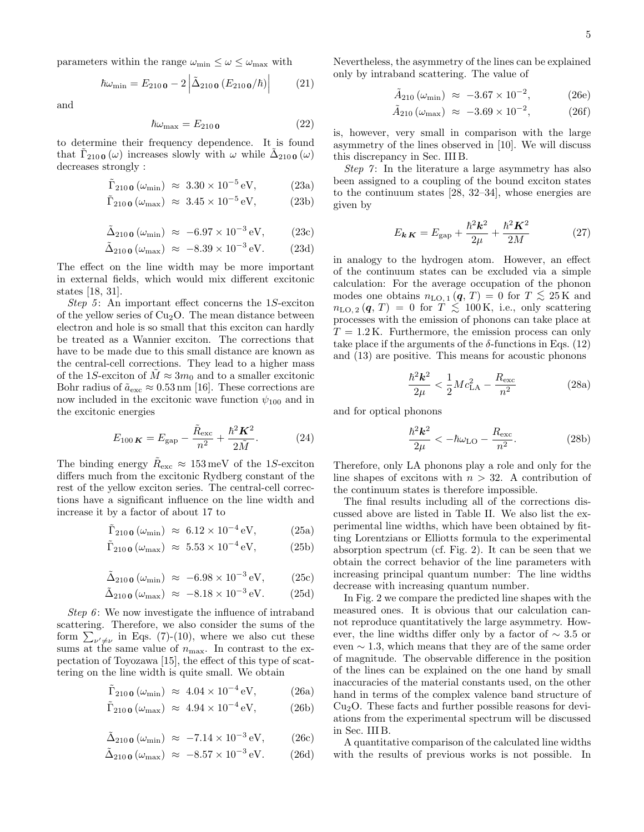parameters within the range  $\omega_{\min} \leq \omega \leq \omega_{\max}$  with

$$
\hbar\omega_{\rm min} = E_{210\,\mathbf{0}} - 2 \left| \tilde{\Delta}_{210\,\mathbf{0}} \left( E_{210\,\mathbf{0}} / \hbar \right) \right| \tag{21}
$$

and

$$
\hbar\omega_{\text{max}} = E_{210\,\text{O}}\tag{22}
$$

to determine their frequency dependence. It is found that  $\tilde{\Gamma}_{210 \text{ o}}(\omega)$  increases slowly with  $\omega$  while  $\tilde{\Delta}_{210 \text{ o}}(\omega)$ decreases strongly :

$$
\tilde{\Gamma}_{210\,\mathbf{0}}\left(\omega_{\rm min}\right) \approx 3.30 \times 10^{-5}\,\mathrm{eV},\tag{23a}
$$

$$
\tilde{\Gamma}_{210\,\mathbf{0}}\left(\omega_{\text{max}}\right) \approx 3.45 \times 10^{-5} \,\text{eV},\tag{23b}
$$

$$
\tilde{\Delta}_{210\,\text{O}}\left(\omega_{\text{min}}\right) \approx -6.97 \times 10^{-3}\,\text{eV},\qquad(23c)
$$

$$
\tilde{\Delta}_{210\,\text{O}}\left(\omega_{\text{max}}\right) \approx -8.39 \times 10^{-3}\,\text{eV}.\tag{23d}
$$

The effect on the line width may be more important in external fields, which would mix different excitonic states [18, 31].

Step 5: An important effect concerns the 1S-exciton of the yellow series of  $Cu<sub>2</sub>O$ . The mean distance between electron and hole is so small that this exciton can hardly be treated as a Wannier exciton. The corrections that have to be made due to this small distance are known as the central-cell corrections. They lead to a higher mass of the 1S-exciton of  $M \approx 3m_0$  and to a smaller excitonic Bohr radius of  $\tilde{a}_{\rm exc} \approx 0.53 \,\text{nm}$  [16]. These corrections are now included in the excitonic wave function  $\psi_{100}$  and in the excitonic energies

$$
E_{100\ K} = E_{\rm gap} - \frac{\tilde{R}_{\rm exc}}{n^2} + \frac{\hbar^2 K^2}{2\tilde{M}}.
$$
 (24)

The binding energy  $\tilde{R}_{\rm exc} \approx 153 \,\text{meV}$  of the 1S-exciton differs much from the excitonic Rydberg constant of the rest of the yellow exciton series. The central-cell corrections have a significant influence on the line width and increase it by a factor of about 17 to

$$
\tilde{\Gamma}_{210\,\mathbf{0}}\left(\omega_{\rm min}\right) \approx 6.12 \times 10^{-4}\,\mathrm{eV},\tag{25a}
$$

$$
\tilde{\Gamma}_{210\,\mathbf{0}}\left(\omega_{\text{max}}\right) \approx 5.53 \times 10^{-4}\,\text{eV},\tag{25b}
$$

$$
\tilde{\Delta}_{210\,\mathbf{0}}\left(\omega_{\rm min}\right) \approx -6.98 \times 10^{-3}\,\mathrm{eV},\qquad(25c)
$$

$$
\tilde{\Delta}_{210\,\mathbf{0}}\left(\omega_{\text{max}}\right) \approx -8.18 \times 10^{-3}\,\text{eV}.\tag{25d}
$$

Step 6: We now investigate the influence of intraband scattering. Therefore, we also consider the sums of the form  $\sum_{\nu'\neq\nu}$  in Eqs. (7)-(10), where we also cut these sums at the same value of  $n_{\text{max}}$ . In contrast to the expectation of Toyozawa [15], the effect of this type of scattering on the line width is quite small. We obtain

$$
\tilde{\Gamma}_{210\,\mathbf{0}}\left(\omega_{\mathrm{min}}\right) \approx 4.04 \times 10^{-4}\,\mathrm{eV},\tag{26a}
$$

$$
\tilde{\Gamma}_{210\,\mathbf{0}}\left(\omega_{\text{max}}\right) \approx 4.94 \times 10^{-4} \,\text{eV},\tag{26b}
$$

$$
\tilde{\Delta}_{210\,\text{O}}\left(\omega_{\text{min}}\right) \approx -7.14 \times 10^{-3}\,\text{eV},\qquad(26c)
$$

$$
\tilde{\Delta}_{210\,\mathbf{0}}\left(\omega_{\text{max}}\right) \approx -8.57 \times 10^{-3}\,\text{eV}.\tag{26d}
$$

Nevertheless, the asymmetry of the lines can be explained only by intraband scattering. The value of

$$
\tilde{A}_{210} (\omega_{\rm min}) \approx -3.67 \times 10^{-2},
$$
\n(26e)

$$
\tilde{A}_{210} (\omega_{\text{max}}) \approx -3.69 \times 10^{-2},
$$
\n(26f)

is, however, very small in comparison with the large asymmetry of the lines observed in [10]. We will discuss this discrepancy in Sec. III B.

Step  $\gamma$ : In the literature a large asymmetry has also been assigned to a coupling of the bound exciton states to the continuum states [28, 32–34], whose energies are given by

$$
E_{\mathbf{k}\mathbf{K}} = E_{\text{gap}} + \frac{\hbar^2 \mathbf{k}^2}{2\mu} + \frac{\hbar^2 \mathbf{K}^2}{2M} \tag{27}
$$

in analogy to the hydrogen atom. However, an effect of the continuum states can be excluded via a simple calculation: For the average occupation of the phonon modes one obtains  $n_{\text{LO}, 1} (q, T) = 0$  for  $T \lesssim 25 \,\text{K}$  and  $n_{\text{LO}, 2}$  (q, T) = 0 for  $T \lesssim 100 \,\text{K}$ , i.e., only scattering processes with the emission of phonons can take place at  $T = 1.2$  K. Furthermore, the emission process can only take place if the arguments of the  $\delta$ -functions in Eqs. (12) and (13) are positive. This means for acoustic phonons

$$
\frac{\hbar^2 k^2}{2\mu} < \frac{1}{2} M c_{\text{LA}}^2 - \frac{R_{\text{exc}}}{n^2} \tag{28a}
$$

and for optical phonons

$$
\frac{\hbar^2 \mathbf{k}^2}{2\mu} < -\hbar \omega_{\text{LO}} - \frac{R_{\text{exc}}}{n^2}.\tag{28b}
$$

Therefore, only LA phonons play a role and only for the line shapes of excitons with  $n > 32$ . A contribution of the continuum states is therefore impossible.

The final results including all of the corrections discussed above are listed in Table II. We also list the experimental line widths, which have been obtained by fitting Lorentzians or Elliotts formula to the experimental absorption spectrum (cf. Fig. 2). It can be seen that we obtain the correct behavior of the line parameters with increasing principal quantum number: The line widths decrease with increasing quantum number.

In Fig. 2 we compare the predicted line shapes with the measured ones. It is obvious that our calculation cannot reproduce quantitatively the large asymmetry. However, the line widths differ only by a factor of ∼ 3.5 or even ∼ 1.3, which means that they are of the same order of magnitude. The observable difference in the position of the lines can be explained on the one hand by small inaccuracies of the material constants used, on the other hand in terms of the complex valence band structure of  $Cu<sub>2</sub>O$ . These facts and further possible reasons for deviations from the experimental spectrum will be discussed in Sec. III B.

A quantitative comparison of the calculated line widths with the results of previous works is not possible. In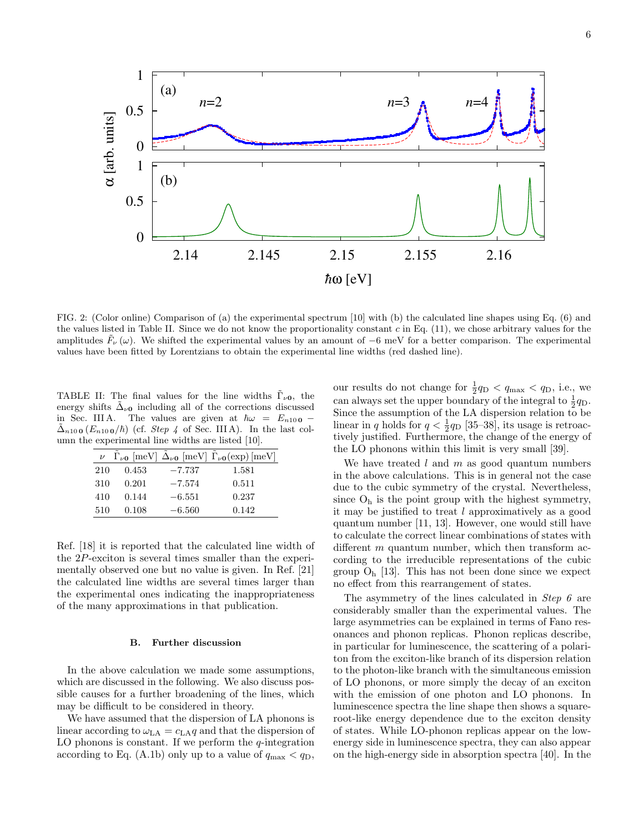1 (a)  $n=2$  *n*=3 *n*  $n=4$  0.5  $\alpha$  [arb. units] α [arb. units] 0 1 (b) 0.5 0 2.14 2.145 2.15 2.15 2.16 *-h*ω [eV]

FIG. 2: (Color online) Comparison of (a) the experimental spectrum [10] with (b) the calculated line shapes using Eq. (6) and the values listed in Table II. Since we do not know the proportionality constant  $c$  in Eq. (11), we chose arbitrary values for the amplitudes  $\bar{F}_\nu(\omega)$ . We shifted the experimental values by an amount of −6 meV for a better comparison. The experimental values have been fitted by Lorentzians to obtain the experimental line widths (red dashed line).

TABLE II: The final values for the line widths  $\Gamma_{\nu 0}$ , the energy shifts  $\Delta_{\nu 0}$  including all of the corrections discussed in Sec. III A. The values are given at  $\hbar\omega = E_{n10}$  o –  $\Delta_{n10}$  ( $E_{n10}$ ,  $\phi/\hbar$ ) (cf. *Step 4* of Sec. III A). In the last column the experimental line widths are listed [10].

| $\nu$ |       |          | $\tilde{\Gamma}_{\nu 0}$ [meV] $\tilde{\Delta}_{\nu 0}$ [meV] $\tilde{\Gamma}_{\nu 0}$ (exp) [meV] |
|-------|-------|----------|----------------------------------------------------------------------------------------------------|
| 210   | 0.453 | $-7.737$ | 1.581                                                                                              |
| 310   | 0.201 | $-7.574$ | 0.511                                                                                              |
| 410   | 0.144 | $-6.551$ | 0.237                                                                                              |
| 510   | 0.108 | $-6.560$ | 0.142                                                                                              |

Ref. [18] it is reported that the calculated line width of the 2P-exciton is several times smaller than the experimentally observed one but no value is given. In Ref. [21] the calculated line widths are several times larger than the experimental ones indicating the inappropriateness of the many approximations in that publication.

#### B. Further discussion

In the above calculation we made some assumptions, which are discussed in the following. We also discuss possible causes for a further broadening of the lines, which may be difficult to be considered in theory.

We have assumed that the dispersion of LA phonons is linear according to  $\omega_{\text{LA}} = c_{\text{LA}}q$  and that the dispersion of LO phonons is constant. If we perform the  $q$ -integration according to Eq. (A.1b) only up to a value of  $q_{\text{max}} < q_{\text{D}}$ ,

our results do not change for  $\frac{1}{2}q_{\text{D}} < q_{\text{max}} < q_{\text{D}}$ , i.e., we can always set the upper boundary of the integral to  $\frac{1}{2}q_D$ . Since the assumption of the LA dispersion relation to be linear in q holds for  $q < \frac{1}{2}q_D$  [35–38], its usage is retroactively justified. Furthermore, the change of the energy of the LO phonons within this limit is very small [39].

We have treated  $l$  and  $m$  as good quantum numbers in the above calculations. This is in general not the case due to the cubic symmetry of the crystal. Nevertheless, since  $O_h$  is the point group with the highest symmetry, it may be justified to treat l approximatively as a good quantum number [11, 13]. However, one would still have to calculate the correct linear combinations of states with different  $m$  quantum number, which then transform according to the irreducible representations of the cubic group  $O<sub>h</sub>$  [13]. This has not been done since we expect no effect from this rearrangement of states.

The asymmetry of the lines calculated in Step 6 are considerably smaller than the experimental values. The large asymmetries can be explained in terms of Fano resonances and phonon replicas. Phonon replicas describe, in particular for luminescence, the scattering of a polariton from the exciton-like branch of its dispersion relation to the photon-like branch with the simultaneous emission of LO phonons, or more simply the decay of an exciton with the emission of one photon and LO phonons. In luminescence spectra the line shape then shows a squareroot-like energy dependence due to the exciton density of states. While LO-phonon replicas appear on the lowenergy side in luminescence spectra, they can also appear on the high-energy side in absorption spectra [40]. In the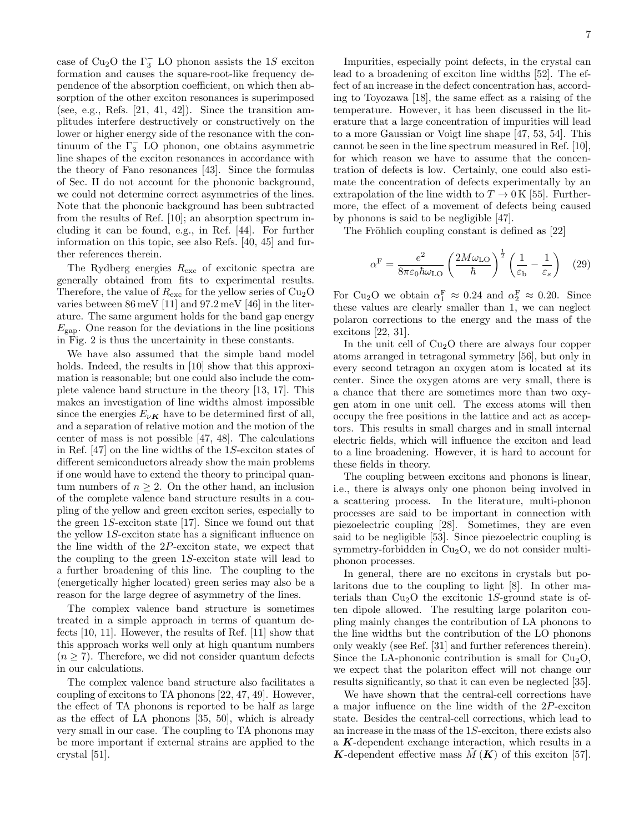case of Cu<sub>2</sub>O the  $\Gamma_3^-$  LO phonon assists the 1S exciton formation and causes the square-root-like frequency dependence of the absorption coefficient, on which then absorption of the other exciton resonances is superimposed (see, e.g., Refs.  $[21, 41, 42]$ ). Since the transition amplitudes interfere destructively or constructively on the lower or higher energy side of the resonance with the continuum of the  $\Gamma_3^-$  LO phonon, one obtains asymmetric line shapes of the exciton resonances in accordance with the theory of Fano resonances [43]. Since the formulas of Sec. II do not account for the phononic background, we could not determine correct asymmetries of the lines. Note that the phononic background has been subtracted from the results of Ref. [10]; an absorption spectrum including it can be found, e.g., in Ref. [44]. For further information on this topic, see also Refs. [40, 45] and further references therein.

The Rydberg energies  $R_{\text{exc}}$  of excitonic spectra are generally obtained from fits to experimental results. Therefore, the value of  $R_{\text{exc}}$  for the yellow series of  $Cu<sub>2</sub>O$ varies between 86 meV [11] and 97.2 meV [46] in the literature. The same argument holds for the band gap energy  $E_{\text{gap}}$ . One reason for the deviations in the line positions in Fig. 2 is thus the uncertainity in these constants.

We have also assumed that the simple band model holds. Indeed, the results in [10] show that this approximation is reasonable; but one could also include the complete valence band structure in the theory [13, 17]. This makes an investigation of line widths almost impossible since the energies  $E_{\nu K}$  have to be determined first of all, and a separation of relative motion and the motion of the center of mass is not possible [47, 48]. The calculations in Ref. [47] on the line widths of the 1S-exciton states of different semiconductors already show the main problems if one would have to extend the theory to principal quantum numbers of  $n \geq 2$ . On the other hand, an inclusion of the complete valence band structure results in a coupling of the yellow and green exciton series, especially to the green 1S-exciton state [17]. Since we found out that the yellow 1S-exciton state has a significant influence on the line width of the 2P-exciton state, we expect that the coupling to the green 1S-exciton state will lead to a further broadening of this line. The coupling to the (energetically higher located) green series may also be a reason for the large degree of asymmetry of the lines.

The complex valence band structure is sometimes treated in a simple approach in terms of quantum defects [10, 11]. However, the results of Ref. [11] show that this approach works well only at high quantum numbers  $(n \geq 7)$ . Therefore, we did not consider quantum defects in our calculations.

The complex valence band structure also facilitates a coupling of excitons to TA phonons [22, 47, 49]. However, the effect of TA phonons is reported to be half as large as the effect of LA phonons [35, 50], which is already very small in our case. The coupling to TA phonons may be more important if external strains are applied to the crystal [51].

Impurities, especially point defects, in the crystal can lead to a broadening of exciton line widths [52]. The effect of an increase in the defect concentration has, according to Toyozawa [18], the same effect as a raising of the temperature. However, it has been discussed in the literature that a large concentration of impurities will lead to a more Gaussian or Voigt line shape [47, 53, 54]. This cannot be seen in the line spectrum measured in Ref. [10], for which reason we have to assume that the concentration of defects is low. Certainly, one could also estimate the concentration of defects experimentally by an extrapolation of the line width to  $T \to 0$  K [55]. Furthermore, the effect of a movement of defects being caused by phonons is said to be negligible [47].

The Fröhlich coupling constant is defined as [22]

$$
\alpha^{\text{F}} = \frac{e^2}{8\pi\varepsilon_0\hbar\omega_{\text{LO}}} \left(\frac{2M\omega_{\text{LO}}}{\hbar}\right)^{\frac{1}{2}} \left(\frac{1}{\varepsilon_{\text{b}}} - \frac{1}{\varepsilon_s}\right) (29)
$$

For Cu<sub>2</sub>O we obtain  $\alpha_1^{\text{F}} \approx 0.24$  and  $\alpha_2^{\text{F}} \approx 0.20$ . Since these values are clearly smaller than 1, we can neglect polaron corrections to the energy and the mass of the excitons [22, 31].

In the unit cell of  $Cu<sub>2</sub>O$  there are always four copper atoms arranged in tetragonal symmetry [56], but only in every second tetragon an oxygen atom is located at its center. Since the oxygen atoms are very small, there is a chance that there are sometimes more than two oxygen atom in one unit cell. The excess atoms will then occupy the free positions in the lattice and act as acceptors. This results in small charges and in small internal electric fields, which will influence the exciton and lead to a line broadening. However, it is hard to account for these fields in theory.

The coupling between excitons and phonons is linear, i.e., there is always only one phonon being involved in a scattering process. In the literature, multi-phonon processes are said to be important in connection with piezoelectric coupling [28]. Sometimes, they are even said to be negligible [53]. Since piezoelectric coupling is symmetry-forbidden in  $Cu<sub>2</sub>O$ , we do not consider multiphonon processes.

In general, there are no excitons in crystals but polaritons due to the coupling to light [8]. In other materials than  $Cu<sub>2</sub>O$  the excitonic 1S-ground state is often dipole allowed. The resulting large polariton coupling mainly changes the contribution of LA phonons to the line widths but the contribution of the LO phonons only weakly (see Ref. [31] and further references therein). Since the LA-phononic contribution is small for  $Cu<sub>2</sub>O$ , we expect that the polariton effect will not change our results significantly, so that it can even be neglected [35].

We have shown that the central-cell corrections have a major influence on the line width of the 2P-exciton state. Besides the central-cell corrections, which lead to an increase in the mass of the 1S-exciton, there exists also a K-dependent exchange interaction, which results in a K-dependent effective mass  $M(K)$  of this exciton [57].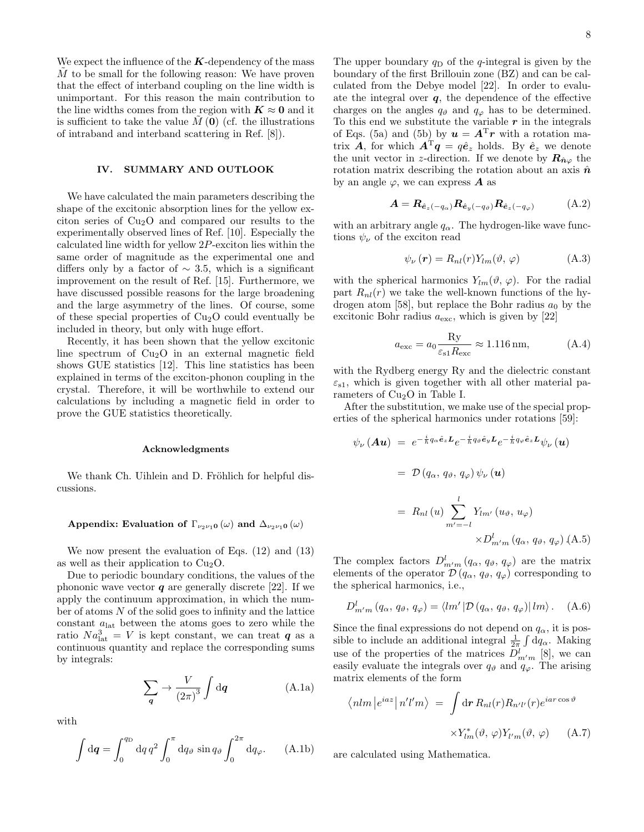We expect the influence of the  $K$ -dependency of the mass  $M$  to be small for the following reason: We have proven that the effect of interband coupling on the line width is unimportant. For this reason the main contribution to the line widths comes from the region with  $K \approx 0$  and it is sufficient to take the value  $M(\mathbf{0})$  (cf. the illustrations of intraband and interband scattering in Ref. [8]).

## IV. SUMMARY AND OUTLOOK

We have calculated the main parameters describing the shape of the excitonic absorption lines for the yellow exciton series of  $Cu<sub>2</sub>O$  and compared our results to the experimentally observed lines of Ref. [10]. Especially the calculated line width for yellow 2P-exciton lies within the same order of magnitude as the experimental one and differs only by a factor of  $\sim$  3.5, which is a significant improvement on the result of Ref. [15]. Furthermore, we have discussed possible reasons for the large broadening and the large asymmetry of the lines. Of course, some of these special properties of  $Cu<sub>2</sub>O$  could eventually be included in theory, but only with huge effort.

Recently, it has been shown that the yellow excitonic line spectrum of  $Cu<sub>2</sub>O$  in an external magnetic field shows GUE statistics [12]. This line statistics has been explained in terms of the exciton-phonon coupling in the crystal. Therefore, it will be worthwhile to extend our calculations by including a magnetic field in order to prove the GUE statistics theoretically.

## Acknowledgments

We thank Ch. Uihlein and D. Fröhlich for helpful discussions.

## Appendix: Evaluation of  $\Gamma_{\nu_2\nu_1 0}(\omega)$  and  $\Delta_{\nu_2\nu_1 0}(\omega)$

We now present the evaluation of Eqs. (12) and (13) as well as their application to  $Cu<sub>2</sub>O$ .

Due to periodic boundary conditions, the values of the phononic wave vector  $q$  are generally discrete [22]. If we apply the continuum approximation, in which the number of atoms  $N$  of the solid goes to infinity and the lattice constant  $a_{\text{lat}}$  between the atoms goes to zero while the ratio  $Na<sub>lat</sub><sup>3</sup> = V$  is kept constant, we can treat  $q$  as a continuous quantity and replace the corresponding sums by integrals:

$$
\sum_{\mathbf{q}} \rightarrow \frac{V}{(2\pi)^3} \int \mathrm{d}\mathbf{q}
$$
 (A.1a)

with

$$
\int d\mathbf{q} = \int_0^{q_D} dq \, q^2 \int_0^{\pi} dq \, \phi \, \sin q \, \phi \int_0^{2\pi} dq \, \phi. \tag{A.1b}
$$

The upper boundary  $q_D$  of the q-integral is given by the boundary of the first Brillouin zone (BZ) and can be calculated from the Debye model [22]. In order to evaluate the integral over  $q$ , the dependence of the effective charges on the angles  $q_{\vartheta}$  and  $q_{\varphi}$  has to be determined. To this end we substitute the variable  $r$  in the integrals of Eqs. (5a) and (5b) by  $u = A^{T}r$  with a rotation matrix A, for which  $A^T q = q \hat{e}_z$  holds. By  $\hat{e}_z$  we denote the unit vector in z-direction. If we denote by  $\mathbf{R}_{\hat{\mathbf{n}}\varphi}$  the rotation matrix describing the rotation about an axis  $\hat{n}$ by an angle  $\varphi$ , we can express **A** as

$$
\mathbf{A} = \mathbf{R}_{\hat{\mathbf{e}}_z(-q_\alpha)} \mathbf{R}_{\hat{\mathbf{e}}_y(-q_\vartheta)} \mathbf{R}_{\hat{\mathbf{e}}_z(-q_\varphi)} \tag{A.2}
$$

with an arbitrary angle  $q_{\alpha}$ . The hydrogen-like wave functions  $\psi_{\nu}$  of the exciton read

$$
\psi_{\nu}(\mathbf{r}) = R_{nl}(r) Y_{lm}(\vartheta, \varphi) \tag{A.3}
$$

with the spherical harmonics  $Y_{lm}(\vartheta, \varphi)$ . For the radial part  $R_{nl}(r)$  we take the well-known functions of the hydrogen atom [58], but replace the Bohr radius  $a_0$  by the excitonic Bohr radius  $a_{\text{exc}}$ , which is given by [22]

$$
a_{\rm exc} = a_0 \frac{\text{Ry}}{\varepsilon_{\rm s1} R_{\rm exc}} \approx 1.116 \,\text{nm},\tag{A.4}
$$

with the Rydberg energy Ry and the dielectric constant  $\varepsilon_{s1}$ , which is given together with all other material parameters of  $Cu<sub>2</sub>O$  in Table I.

After the substitution, we make use of the special properties of the spherical harmonics under rotations [59]:

$$
\psi_{\nu}(\mathbf{A}\mathbf{u}) = e^{-\frac{i}{\hbar}q_{\alpha}\hat{\mathbf{e}}_{z}\mathbf{L}}e^{-\frac{i}{\hbar}q_{\vartheta}\hat{\mathbf{e}}_{y}\mathbf{L}}e^{-\frac{i}{\hbar}q_{\varphi}\hat{\mathbf{e}}_{z}\mathbf{L}}\psi_{\nu}(\mathbf{u})
$$
  
\n
$$
= \mathcal{D}(q_{\alpha}, q_{\vartheta}, q_{\varphi})\psi_{\nu}(\mathbf{u})
$$
  
\n
$$
= R_{nl}(u)\sum_{m'=-l}^{l} Y_{lm'}(u_{\vartheta}, u_{\varphi})
$$
  
\n
$$
\times D_{m'm}^{l}(q_{\alpha}, q_{\vartheta}, q_{\varphi}) (\mathbf{A}.\mathbf{5})
$$

The complex factors  $D_{m'm}^l (q_\alpha, q_\vartheta, q_\varphi)$  are the matrix elements of the operator  $\mathcal{D}(q_{\alpha}, q_{\vartheta}, q_{\varphi})$  corresponding to the spherical harmonics, i.e.,

$$
D_{m'm}^{l} (q_{\alpha}, q_{\vartheta}, q_{\varphi}) = \langle lm' | \mathcal{D} (q_{\alpha}, q_{\vartheta}, q_{\varphi}) | lm \rangle. \quad (A.6)
$$

Since the final expressions do not depend on  $q_{\alpha}$ , it is possible to include an additional integral  $\frac{1}{2\pi} \int dq_{\alpha}$ . Making use of the properties of the matrices  $D_{m'm}^l$  [8], we can easily evaluate the integrals over  $q_{\theta}$  and  $q_{\varphi}$ . The arising matrix elements of the form

$$
\langle n l m | e^{iaz} | n' l' m \rangle = \int d\mathbf{r} R_{nl}(r) R_{n'l'}(r) e^{iar \cos \vartheta}
$$

$$
\times Y_{lm}^*(\vartheta, \varphi) Y_{l'm}(\vartheta, \varphi) \qquad (A.7)
$$

are calculated using Mathematica.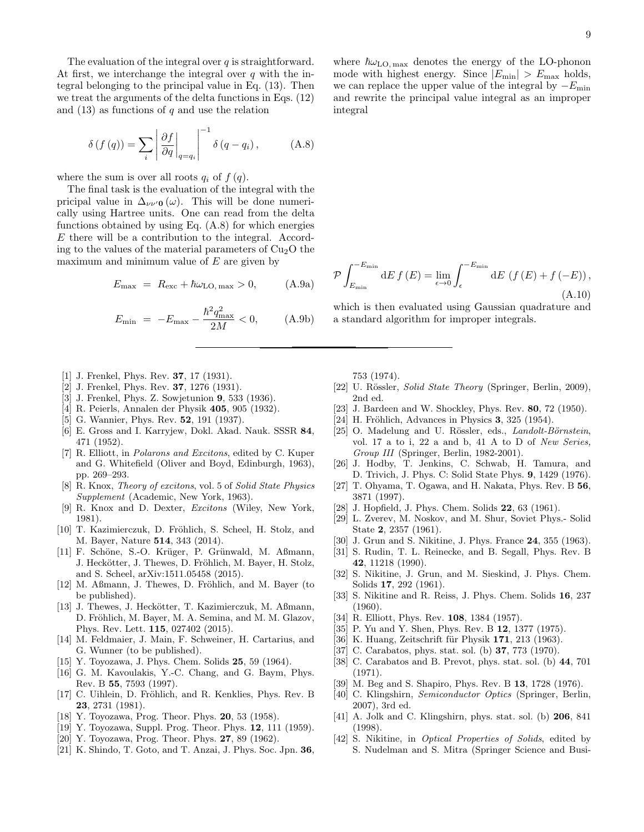The evaluation of the integral over  $q$  is straightforward. At first, we interchange the integral over  $q$  with the integral belonging to the principal value in Eq. (13). Then we treat the arguments of the delta functions in Eqs. (12) and  $(13)$  as functions of q and use the relation

$$
\delta\left(f\left(q\right)\right) = \sum_{i} \left| \frac{\partial f}{\partial q} \right|_{q=q_i} \Big|^{-1} \delta\left(q - q_i\right), \tag{A.8}
$$

where the sum is over all roots  $q_i$  of  $f(q)$ .

The final task is the evaluation of the integral with the pricipal value in  $\Delta_{\nu\nu}$ <sup>0</sup> (ω). This will be done numerically using Hartree units. One can read from the delta functions obtained by using Eq. (A.8) for which energies E there will be a contribution to the integral. According to the values of the material parameters of  $Cu<sub>2</sub>O$  the maximum and minimum value of  $E$  are given by

$$
E_{\text{max}} = R_{\text{exc}} + \hbar\omega_{\text{LO},\,\text{max}} > 0,\tag{A.9a}
$$

$$
E_{\min} = -E_{\max} - \frac{\hbar^2 q_{\max}^2}{2M} < 0,\qquad \text{(A.9b)}
$$

- [1] J. Frenkel, Phys. Rev. **37**, 17 (1931).
- [2] J. Frenkel, Phys. Rev. **37**, 1276 (1931).
- [3] J. Frenkel, Phys. Z. Sowjetunion 9, 533 (1936).
- [4] R. Peierls, Annalen der Physik 405, 905 (1932).
- [5] G. Wannier, Phys. Rev. **52**, 191 (1937).
- [6] E. Gross and I. Karryjew, Dokl. Akad. Nauk. SSSR 84, 471 (1952).
- [7] R. Elliott, in Polarons and Excitons, edited by C. Kuper and G. Whitefield (Oliver and Boyd, Edinburgh, 1963), pp. 269–293.
- [8] R. Knox, Theory of excitons, vol. 5 of Solid State Physics Supplement (Academic, New York, 1963).
- [9] R. Knox and D. Dexter, Excitons (Wiley, New York, 1981).
- [10] T. Kazimierczuk, D. Fröhlich, S. Scheel, H. Stolz, and M. Bayer, Nature 514, 343 (2014).
- [11] F. Schöne, S.-O. Krüger, P. Grünwald, M. Aßmann, J. Heckötter, J. Thewes, D. Fröhlich, M. Bayer, H. Stolz, and S. Scheel, arXiv:1511.05458 (2015).
- [12] M. Aßmann, J. Thewes, D. Fröhlich, and M. Bayer (to be published).
- [13] J. Thewes, J. Heckötter, T. Kazimierczuk, M. Aßmann, D. Fröhlich, M. Bayer, M. A. Semina, and M. M. Glazov, Phys. Rev. Lett. 115, 027402 (2015).
- [14] M. Feldmaier, J. Main, F. Schweiner, H. Cartarius, and G. Wunner (to be published).
- [15] Y. Toyozawa, J. Phys. Chem. Solids 25, 59 (1964).
- [16] G. M. Kavoulakis, Y.-C. Chang, and G. Baym, Phys. Rev. B 55, 7593 (1997).
- [17] C. Uihlein, D. Fröhlich, and R. Kenklies, Phys. Rev. B 23, 2731 (1981).
- [18] Y. Toyozawa, Prog. Theor. Phys. **20**, 53 (1958).
- [19] Y. Toyozawa, Suppl. Prog. Theor. Phys. **12**, 111 (1959).
- [20] Y. Toyozawa, Prog. Theor. Phys. 27, 89 (1962).
- [21] K. Shindo, T. Goto, and T. Anzai, J. Phys. Soc. Jpn. 36,

where  $\hbar\omega_{\text{LO, max}}$  denotes the energy of the LO-phonon mode with highest energy. Since  $|E_{\text{min}}| > E_{\text{max}}$  holds, we can replace the upper value of the integral by  $-E_{\text{min}}$ and rewrite the principal value integral as an improper integral

$$
\mathcal{P}\int_{E_{\min}}^{-E_{\min}} \mathrm{d}E f(E) = \lim_{\epsilon \to 0} \int_{\epsilon}^{-E_{\min}} \mathrm{d}E \, \left(f(E) + f(-E)\right),\tag{A.10}
$$

which is then evaluated using Gaussian quadrature and a standard algorithm for improper integrals.

753 (1974).

- [22] U. Rössler, Solid State Theory (Springer, Berlin, 2009), 2nd ed.
- [23] J. Bardeen and W. Shockley, Phys. Rev. 80, 72 (1950).
- [24] H. Fröhlich, Advances in Physics  $3, 325$  (1954).
- [25] O. Madelung and U. Rössler, eds., *Landolt-Börnstein*, vol. 17 a to i, 22 a and b, 41 A to D of New Series, Group III (Springer, Berlin, 1982-2001).
- [26] J. Hodby, T. Jenkins, C. Schwab, H. Tamura, and D. Trivich, J. Phys. C: Solid State Phys. 9, 1429 (1976).
- [27] T. Ohyama, T. Ogawa, and H. Nakata, Phys. Rev. B 56, 3871 (1997).
- [28] J. Hopfield, J. Phys. Chem. Solids **22**, 63 (1961).
- [29] L. Zverev, M. Noskov, and M. Shur, Soviet Phys.- Solid State 2, 2357 (1961).
- [30] J. Grun and S. Nikitine, J. Phys. France 24, 355 (1963).
- [31] S. Rudin, T. L. Reinecke, and B. Segall, Phys. Rev. B 42, 11218 (1990).
- [32] S. Nikitine, J. Grun, and M. Sieskind, J. Phys. Chem. Solids 17, 292 (1961).
- [33] S. Nikitine and R. Reiss, J. Phys. Chem. Solids 16, 237 (1960).
- [34] R. Elliott, Phys. Rev. **108**, 1384 (1957).
- [35] P. Yu and Y. Shen, Phys. Rev. B 12, 1377 (1975).
- [36] K. Huang, Zeitschrift für Physik 171, 213 (1963).
- [37] C. Carabatos, phys. stat. sol. (b) 37, 773 (1970).
- [38] C. Carabatos and B. Prevot, phys. stat. sol. (b) 44, 701 (1971).
- [39] M. Beg and S. Shapiro, Phys. Rev. B 13, 1728 (1976).
- [40] C. Klingshirn, Semiconductor Optics (Springer, Berlin, 2007), 3rd ed.
- [41] A. Jolk and C. Klingshirn, phys. stat. sol. (b) 206, 841 (1998).
- [42] S. Nikitine, in *Optical Properties of Solids*, edited by S. Nudelman and S. Mitra (Springer Science and Busi-